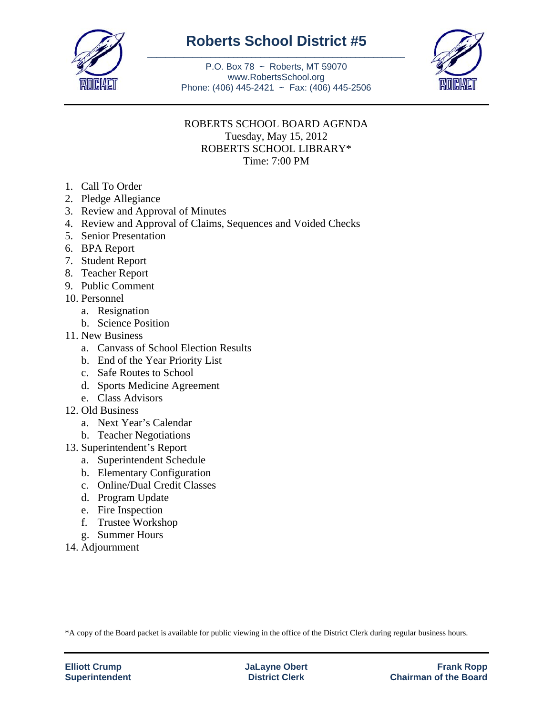

## **Roberts School District #5** \_\_\_\_\_\_\_\_\_\_\_\_\_\_\_\_\_\_\_\_\_\_\_\_\_\_\_\_\_\_\_\_\_\_\_\_\_\_\_\_\_\_\_\_\_\_\_\_\_\_\_\_\_\_\_\_\_

P.O. Box 78 ~ Roberts, MT 59070 www.RobertsSchool.org Phone: (406) 445-2421 ~ Fax: (406) 445-2506



## ROBERTS SCHOOL BOARD AGENDA Tuesday, May 15, 2012 ROBERTS SCHOOL LIBRARY\*

Time: 7:00 PM

- 1. Call To Order
- 2. Pledge Allegiance
- 3. Review and Approval of Minutes
- 4. Review and Approval of Claims, Sequences and Voided Checks
- 5. Senior Presentation
- 6. BPA Report
- 7. Student Report
- 8. Teacher Report
- 9. Public Comment
- 10. Personnel
	- a. Resignation
	- b. Science Position
- 11. New Business
	- a. Canvass of School Election Results
	- b. End of the Year Priority List
	- c. Safe Routes to School
	- d. Sports Medicine Agreement
	- e. Class Advisors
- 12. Old Business
	- a. Next Year's Calendar
	- b. Teacher Negotiations
- 13. Superintendent's Report
	- a. Superintendent Schedule
	- b. Elementary Configuration
	- c. Online/Dual Credit Classes
	- d. Program Update
	- e. Fire Inspection
	- f. Trustee Workshop
	- g. Summer Hours
- 14. Adjournment

\*A copy of the Board packet is available for public viewing in the office of the District Clerk during regular business hours.